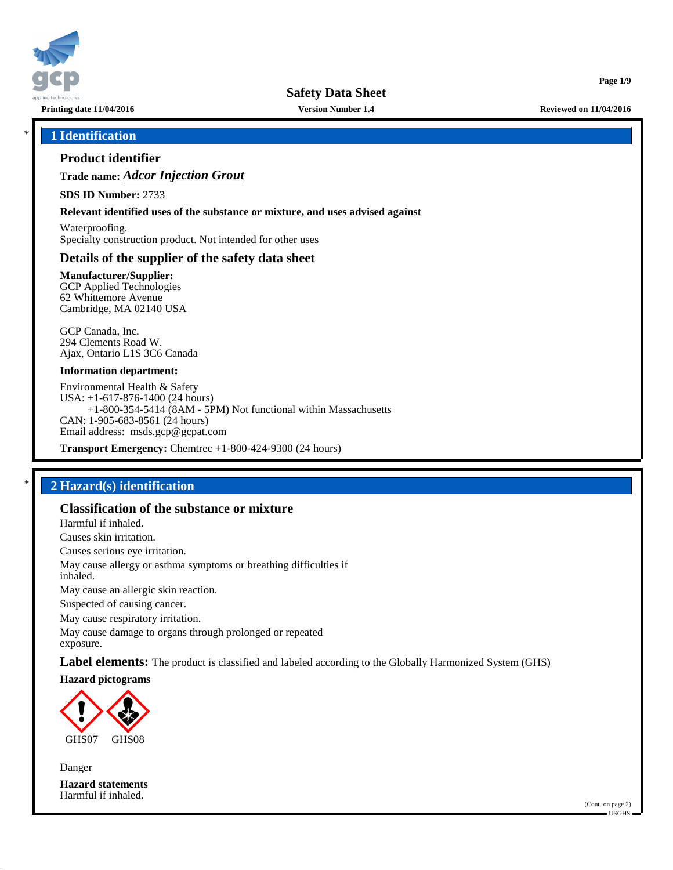

**Printing date 11/04/2016 Version Number 1.4 Reviewed on 11/04/2016**

**Page 1/9**

## \* **1 Identification**

## **Product identifier**

**Trade name:** *Adcor Injection Grout*

**SDS ID Number:** 2733

**Relevant identified uses of the substance or mixture, and uses advised against**

Waterproofing. Specialty construction product. Not intended for other uses

## **Details of the supplier of the safety data sheet**

**Manufacturer/Supplier:** GCP Applied Technologies 62 Whittemore Avenue Cambridge, MA 02140 USA

GCP Canada, Inc. 294 Clements Road W. Ajax, Ontario L1S 3C6 Canada

#### **Information department:**

Environmental Health & Safety USA: +1-617-876-1400 (24 hours) +1-800-354-5414 (8AM - 5PM) Not functional within Massachusetts CAN: 1-905-683-8561 (24 hours) Email address: msds.gcp@gcpat.com

**Transport Emergency:** Chemtrec +1-800-424-9300 (24 hours)

## \* **2 Hazard(s) identification**

### **Classification of the substance or mixture**

Harmful if inhaled.

Causes skin irritation.

Causes serious eye irritation.

May cause allergy or asthma symptoms or breathing difficulties if inhaled.

May cause an allergic skin reaction.

Suspected of causing cancer.

May cause respiratory irritation.

May cause damage to organs through prolonged or repeated exposure.

**Label elements:** The product is classified and labeled according to the Globally Harmonized System (GHS)

**Hazard pictograms**



Danger **Hazard statements** Harmful if inhaled.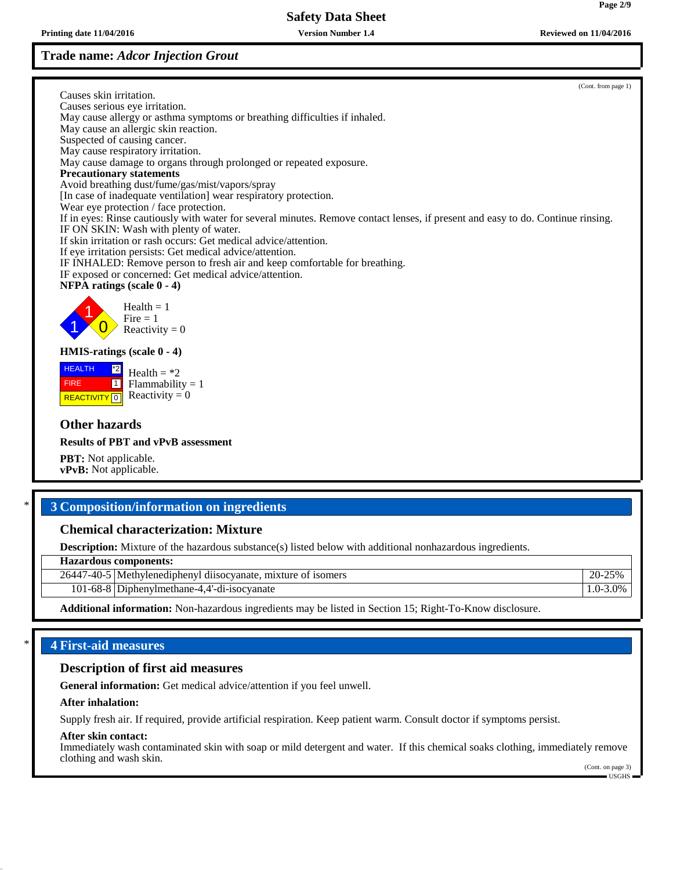# **Trade name:** *Adcor Injection Grout*

**Printing date 11/04/2016 Version Number 1.4 Reviewed on 11/04/2016**

(Cont. from page 1)

Causes skin irritation. Causes serious eye irritation. May cause allergy or asthma symptoms or breathing difficulties if inhaled. May cause an allergic skin reaction. Suspected of causing cancer. May cause respiratory irritation. May cause damage to organs through prolonged or repeated exposure. **Precautionary statements** Avoid breathing dust/fume/gas/mist/vapors/spray [In case of inadequate ventilation] wear respiratory protection. Wear eye protection / face protection. If in eyes: Rinse cautiously with water for several minutes. Remove contact lenses, if present and easy to do. Continue rinsing. IF ON SKIN: Wash with plenty of water. If skin irritation or rash occurs: Get medical advice/attention. If eye irritation persists: Get medical advice/attention. IF INHALED: Remove person to fresh air and keep comfortable for breathing. IF exposed or concerned: Get medical advice/attention. **NFPA ratings (scale 0 - 4)** 1 1  $\overline{\mathbf{0}}$  $Health = 1$  $Fire = 1$ Reactivity  $= 0$ **HMIS-ratings (scale 0 - 4)** HEALTH FIRE **REACTIVITY** 0 \*2  $\boxed{1}$ Health  $=$  \*2  $Flammability = 1$ Reactivity  $= 0$ **Other hazards Results of PBT and vPvB assessment PBT:** Not applicable. **vPvB:** Not applicable.

# \* **3 Composition/information on ingredients**

# **Chemical characterization: Mixture**

**Description:** Mixture of the hazardous substance(s) listed below with additional nonhazardous ingredients.

**Hazardous components:**

| 26447<br>$(1 - 40 - 5)$ | <br>mixture of isomers<br>ا بـ اMethylenedipheny ا ر<br>dusocyanate, | nΩ<br>$-25%$<br>∠U- 1 |
|-------------------------|----------------------------------------------------------------------|-----------------------|
| `1-68-8   L             | Diphenvlmethane-4<br>.4 -di-isocyanate                               | $1.0 - 3.0\%$         |
|                         |                                                                      |                       |

**Additional information:** Non-hazardous ingredients may be listed in Section 15; Right-To-Know disclosure.

# \* **4 First-aid measures**

## **Description of first aid measures**

**General information:** Get medical advice/attention if you feel unwell.

### **After inhalation:**

Supply fresh air. If required, provide artificial respiration. Keep patient warm. Consult doctor if symptoms persist.

### **After skin contact:**

Immediately wash contaminated skin with soap or mild detergent and water. If this chemical soaks clothing, immediately remove clothing and wash skin.

(Cont. on page 3) USGHS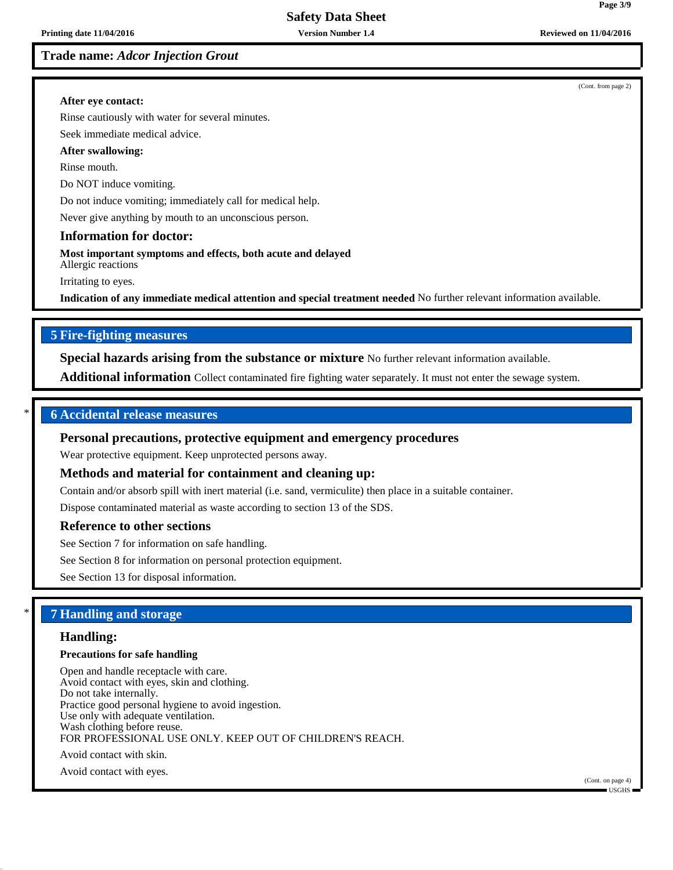## **Trade name:** *Adcor Injection Grout*

(Cont. from page 2)

**Page 3/9**

#### **After eye contact:**

Rinse cautiously with water for several minutes.

Seek immediate medical advice.

## **After swallowing:**

Rinse mouth.

Do NOT induce vomiting.

Do not induce vomiting; immediately call for medical help.

Never give anything by mouth to an unconscious person.

## **Information for doctor:**

**Most important symptoms and effects, both acute and delayed** Allergic reactions

Irritating to eyes.

**Indication of any immediate medical attention and special treatment needed** No further relevant information available.

## **5 Fire-fighting measures**

**Special hazards arising from the substance or mixture** No further relevant information available.

**Additional information** Collect contaminated fire fighting water separately. It must not enter the sewage system.

#### \* **6 Accidental release measures**

#### **Personal precautions, protective equipment and emergency procedures**

Wear protective equipment. Keep unprotected persons away.

#### **Methods and material for containment and cleaning up:**

Contain and/or absorb spill with inert material (i.e. sand, vermiculite) then place in a suitable container.

Dispose contaminated material as waste according to section 13 of the SDS.

#### **Reference to other sections**

See Section 7 for information on safe handling.

See Section 8 for information on personal protection equipment.

See Section 13 for disposal information.

### \* **7 Handling and storage**

#### **Handling:**

#### **Precautions for safe handling**

Open and handle receptacle with care. Avoid contact with eyes, skin and clothing. Do not take internally. Practice good personal hygiene to avoid ingestion. Use only with adequate ventilation. Wash clothing before reuse. FOR PROFESSIONAL USE ONLY. KEEP OUT OF CHILDREN'S REACH.

Avoid contact with skin.

Avoid contact with eyes.

(Cont. on page 4)  $\blacksquare$  USGHS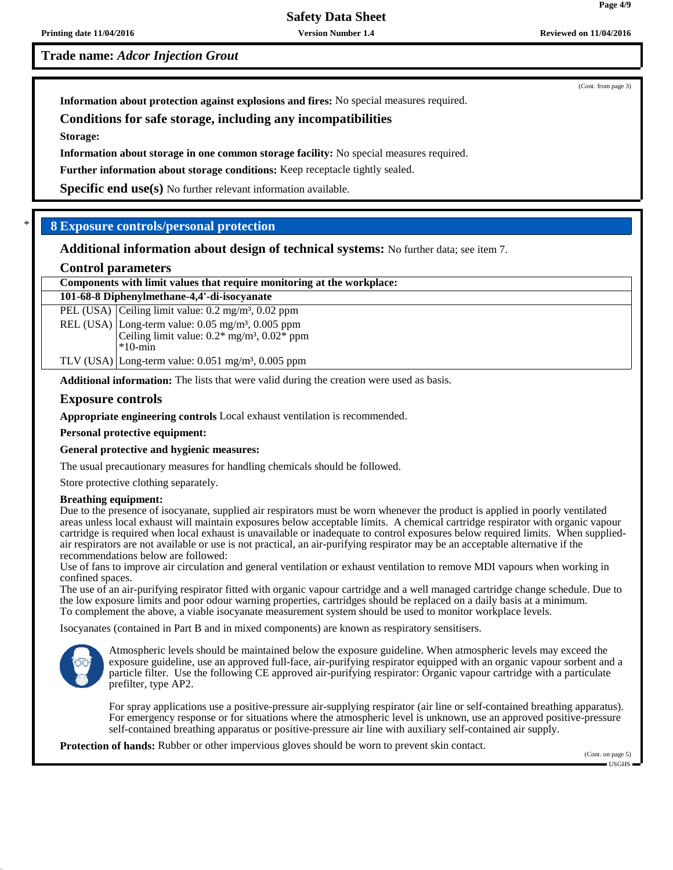**Printing date 11/04/2016 Version Number 1.4 Reviewed on 11/04/2016**

**Trade name:** *Adcor Injection Grout*

**Information about protection against explosions and fires:** No special measures required.

# **Conditions for safe storage, including any incompatibilities**

**Storage:**

**Information about storage in one common storage facility:** No special measures required.

**Further information about storage conditions:** Keep receptacle tightly sealed.

**Specific end use(s)** No further relevant information available.

# \* **8 Exposure controls/personal protection**

**Additional information about design of technical systems:** No further data; see item 7.

### **Control parameters**

| Components with limit values that require monitoring at the workplace: |                                                                          |  |  |
|------------------------------------------------------------------------|--------------------------------------------------------------------------|--|--|
|                                                                        | 101-68-8 Diphenylmethane-4,4'-di-isocyanate                              |  |  |
|                                                                        | PEL (USA) Ceiling limit value: $0.2 \text{ mg/m}^3$ , $0.02 \text{ ppm}$ |  |  |
|                                                                        | REL (USA) Long-term value: $0.05 \text{ mg/m}^3$ , $0.005 \text{ ppm}$   |  |  |
|                                                                        | Ceiling limit value: $0.2*$ mg/m <sup>3</sup> , $0.02*$ ppm              |  |  |
|                                                                        | $*10$ -min                                                               |  |  |
|                                                                        | TLV (USA) Long-term value: $0.051$ mg/m <sup>3</sup> , $0.005$ ppm       |  |  |

**Additional information:** The lists that were valid during the creation were used as basis.

### **Exposure controls**

**Appropriate engineering controls** Local exhaust ventilation is recommended.

**Personal protective equipment:**

### **General protective and hygienic measures:**

The usual precautionary measures for handling chemicals should be followed.

Store protective clothing separately.

#### **Breathing equipment:**

Due to the presence of isocyanate, supplied air respirators must be worn whenever the product is applied in poorly ventilated areas unless local exhaust will maintain exposures below acceptable limits. A chemical cartridge respirator with organic vapour cartridge is required when local exhaust is unavailable or inadequate to control exposures below required limits. When suppliedair respirators are not available or use is not practical, an air-purifying respirator may be an acceptable alternative if the recommendations below are followed:

Use of fans to improve air circulation and general ventilation or exhaust ventilation to remove MDI vapours when working in confined spaces.

The use of an air-purifying respirator fitted with organic vapour cartridge and a well managed cartridge change schedule. Due to the low exposure limits and poor odour warning properties, cartridges should be replaced on a daily basis at a minimum. To complement the above, a viable isocyanate measurement system should be used to monitor workplace levels.

Isocyanates (contained in Part B and in mixed components) are known as respiratory sensitisers.



Atmospheric levels should be maintained below the exposure guideline. When atmospheric levels may exceed the exposure guideline, use an approved full-face, air-purifying respirator equipped with an organic vapour sorbent and a particle filter. Use the following CE approved air-purifying respirator: Organic vapour cartridge with a particulate prefilter, type AP2.

For spray applications use a positive-pressure air-supplying respirator (air line or self-contained breathing apparatus). For emergency response or for situations where the atmospheric level is unknown, use an approved positive-pressure self-contained breathing apparatus or positive-pressure air line with auxiliary self-contained air supply.

**Protection of hands:** Rubber or other impervious gloves should be worn to prevent skin contact.

(Cont. on page 5) USGHS

(Cont. from page 3)

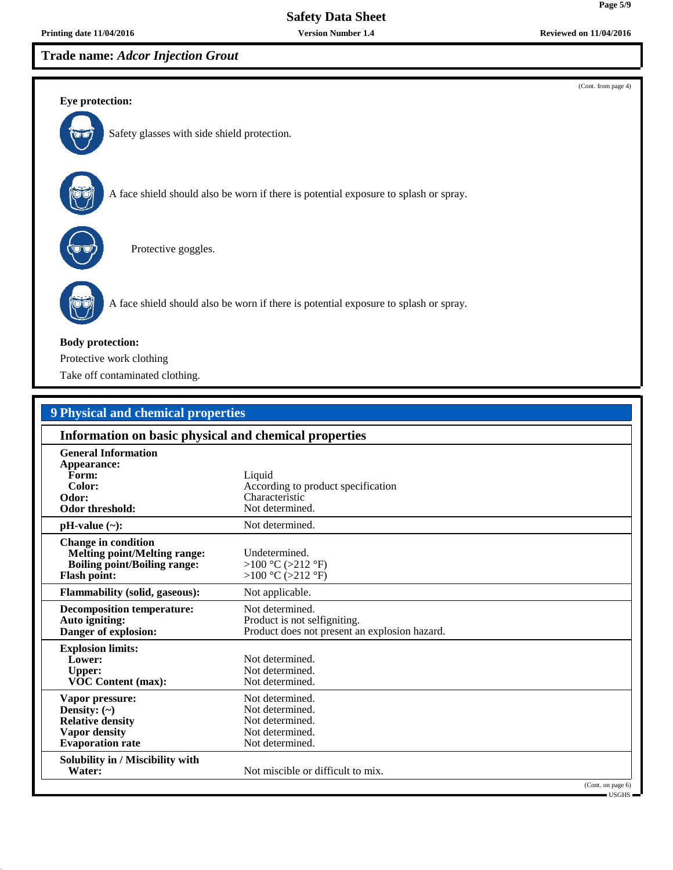**Printing date 11/04/2016 Version Number 1.4 Reviewed on 11/04/2016**

**Trade name:** *Adcor Injection Grout*



| 9 Physical and chemical properties                                                                                              |                                                                                                  |  |  |
|---------------------------------------------------------------------------------------------------------------------------------|--------------------------------------------------------------------------------------------------|--|--|
| Information on basic physical and chemical properties                                                                           |                                                                                                  |  |  |
| <b>General Information</b><br>Appearance:<br>Form:<br>Color:<br>Odor:<br><b>Odor threshold:</b>                                 | Liquid<br>According to product specification<br>Characteristic<br>Not determined.                |  |  |
| $pH-value$ (~):                                                                                                                 | Not determined.                                                                                  |  |  |
| <b>Change in condition</b><br><b>Melting point/Melting range:</b><br><b>Boiling point/Boiling range:</b><br><b>Flash point:</b> | Undetermined.<br>>100 °C (>212 °F)<br>>100 °C (>212 °F)                                          |  |  |
| <b>Flammability (solid, gaseous):</b>                                                                                           | Not applicable.                                                                                  |  |  |
| <b>Decomposition temperature:</b><br>Auto igniting:<br>Danger of explosion:                                                     | Not determined.<br>Product is not selfigniting.<br>Product does not present an explosion hazard. |  |  |
| <b>Explosion limits:</b><br>Lower:<br><b>Upper:</b><br><b>VOC Content (max):</b>                                                | Not determined.<br>Not determined.<br>Not determined.                                            |  |  |
| Vapor pressure:<br>Density: $(\sim)$<br><b>Relative density</b><br>Vapor density<br><b>Evaporation</b> rate                     | Not determined.<br>Not determined.<br>Not determined.<br>Not determined.<br>Not determined.      |  |  |
| Solubility in / Miscibility with<br>Water:                                                                                      | Not miscible or difficult to mix.                                                                |  |  |
|                                                                                                                                 | (Cont. on page 6)                                                                                |  |  |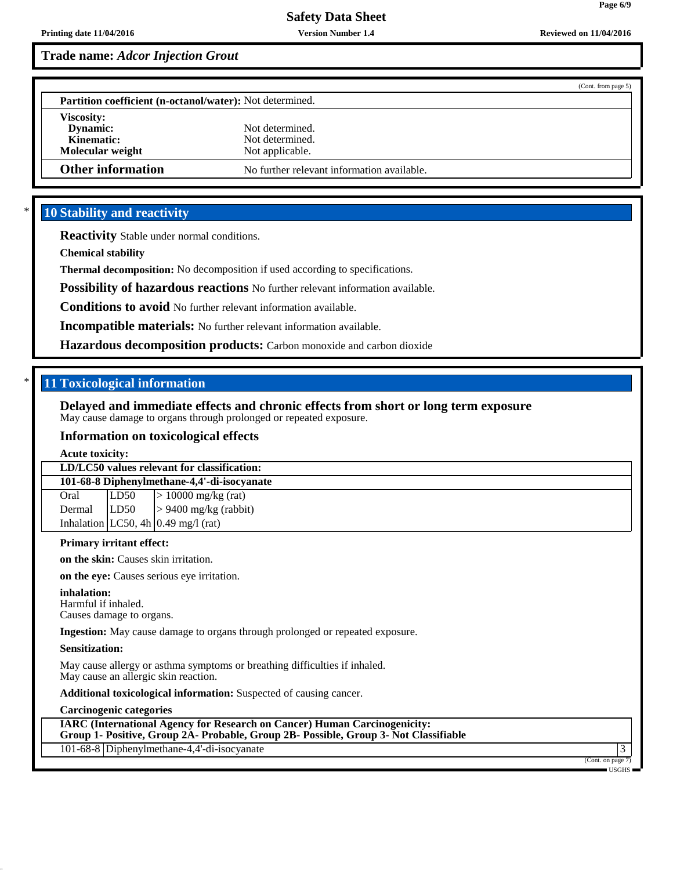**Page 6/9**

# **Trade name:** *Adcor Injection Grout*

|                                                                 | (Cont. from page 5)                                   |  |
|-----------------------------------------------------------------|-------------------------------------------------------|--|
| <b>Partition coefficient (n-octanol/water):</b> Not determined. |                                                       |  |
| <b>Viscosity:</b><br>Dynamic:<br>Kinematic:<br>Molecular weight | Not determined.<br>Not determined.<br>Not applicable. |  |
| <b>Other information</b>                                        | No further relevant information available.            |  |

## **10 Stability and reactivity**

**Reactivity** Stable under normal conditions.

**Chemical stability**

**Thermal decomposition:** No decomposition if used according to specifications.

**Possibility of hazardous reactions** No further relevant information available.

**Conditions to avoid** No further relevant information available.

**Incompatible materials:** No further relevant information available.

**Hazardous decomposition products:** Carbon monoxide and carbon dioxide

## \* **11 Toxicological information**

**Delayed and immediate effects and chronic effects from short or long term exposure** May cause damage to organs through prolonged or repeated exposure.

### **Information on toxicological effects**

**Acute toxicity:**

| LD/LC50 values relevant for classification: |      |                                       |
|---------------------------------------------|------|---------------------------------------|
| 101-68-8 Diphenylmethane-4,4'-di-isocyanate |      |                                       |
| Oral                                        | LD50 | $> 10000$ mg/kg (rat)                 |
| Dermal                                      |      | $ L D50  > 9400$ mg/kg (rabbit)       |
|                                             |      | Inhalation LC50, 4h $0.49$ mg/l (rat) |
|                                             |      |                                       |

## **Primary irritant effect:**

**on the skin:** Causes skin irritation.

**on the eye:** Causes serious eye irritation.

#### **inhalation:**

Harmful if inhaled. Causes damage to organs.

**Ingestion:** May cause damage to organs through prolonged or repeated exposure.

#### **Sensitization:**

May cause allergy or asthma symptoms or breathing difficulties if inhaled. May cause an allergic skin reaction.

**Additional toxicological information:** Suspected of causing cancer.

**Carcinogenic categories**

**IARC (International Agency for Research on Cancer) Human Carcinogenicity: Group 1- Positive, Group 2A- Probable, Group 2B- Possible, Group 3- Not Classifiable**

101-68-8 Diphenylmethane-4,4'-di-isocyanate 3

(Cont. on page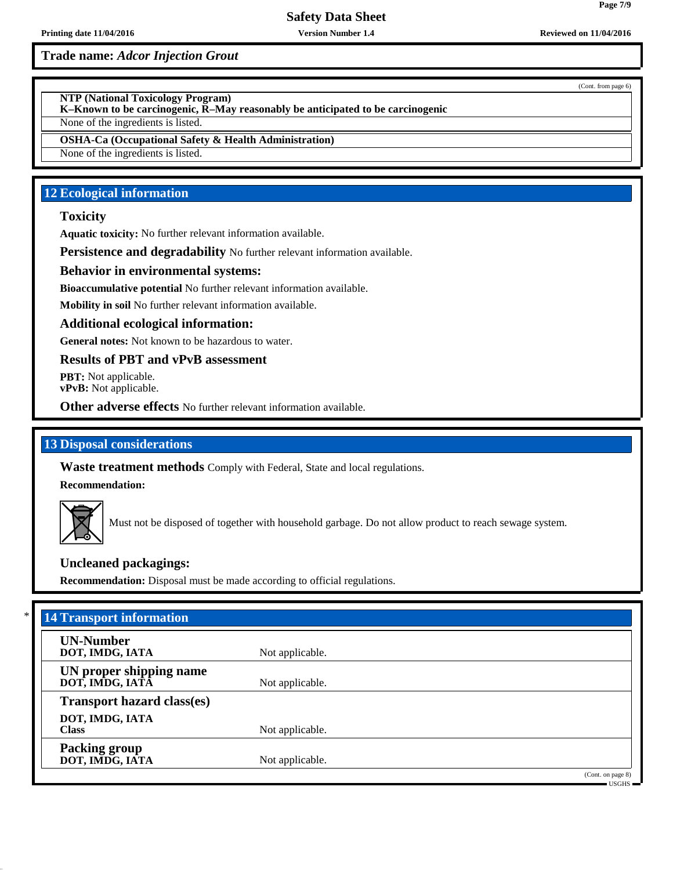**Printing date 11/04/2016 Version Number 1.4 Reviewed on 11/04/2016**

**Trade name:** *Adcor Injection Grout*

**NTP (National Toxicology Program)**

**K–Known to be carcinogenic, R–May reasonably be anticipated to be carcinogenic**

None of the ingredients is listed.

**OSHA-Ca (Occupational Safety & Health Administration)**

None of the ingredients is listed.

# **12 Ecological information**

## **Toxicity**

**Aquatic toxicity:** No further relevant information available.

**Persistence and degradability** No further relevant information available.

## **Behavior in environmental systems:**

**Bioaccumulative potential** No further relevant information available.

**Mobility in soil** No further relevant information available.

### **Additional ecological information:**

**General notes:** Not known to be hazardous to water.

**Results of PBT and vPvB assessment**

**PBT:** Not applicable. **vPvB:** Not applicable.

**Other adverse effects** No further relevant information available.

## **13 Disposal considerations**

**Waste treatment methods** Comply with Federal, State and local regulations.

**Recommendation:**



Must not be disposed of together with household garbage. Do not allow product to reach sewage system.

## **Uncleaned packagings:**

**Recommendation:** Disposal must be made according to official regulations.

| <b>UN-Number</b>                  |                 |  |
|-----------------------------------|-----------------|--|
| DOT, IMDG, IATA                   | Not applicable. |  |
| UN proper shipping name           |                 |  |
| DOT, IMDG, IATA                   | Not applicable. |  |
| <b>Transport hazard class(es)</b> |                 |  |
| DOT, IMDG, IATA                   |                 |  |
| <b>Class</b>                      | Not applicable. |  |
| Packing group                     |                 |  |
| DOT, IMDG, IATA                   | Not applicable. |  |

(Cont. from page 6)

USGHS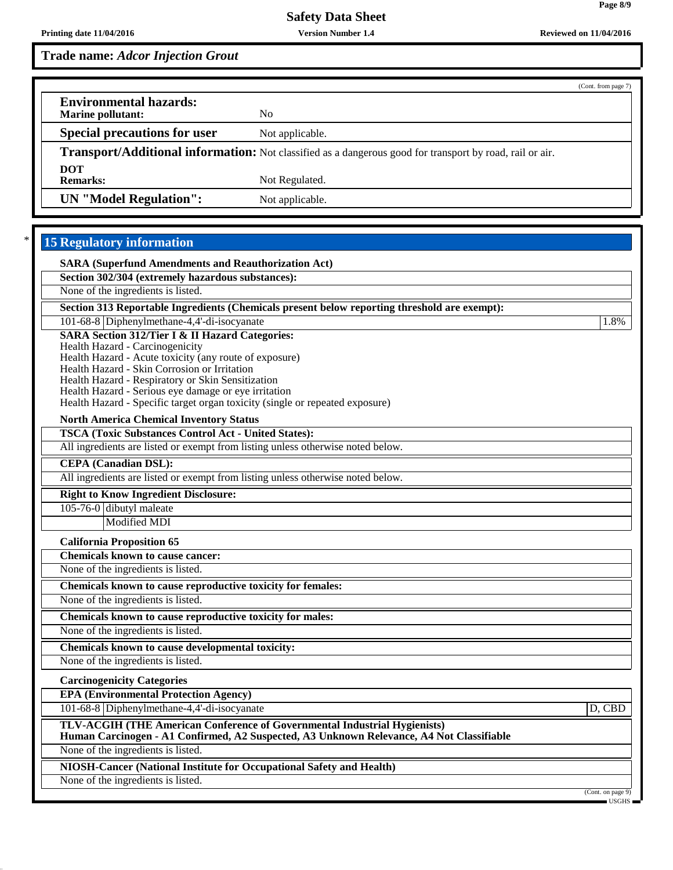**Page 8/9**

**Trade name:** *Adcor Injection Grout*

|                                                                                                          |                 | (Cont. from page 7) |
|----------------------------------------------------------------------------------------------------------|-----------------|---------------------|
| <b>Environmental hazards:</b><br>Marine pollutant:                                                       | No.             |                     |
| <b>Special precautions for user</b>                                                                      | Not applicable. |                     |
| Transport/Additional information: Not classified as a dangerous good for transport by road, rail or air. |                 |                     |
| <b>DOT</b><br><b>Remarks:</b>                                                                            | Not Regulated.  |                     |
| <b>UN</b> "Model Regulation":                                                                            | Not applicable. |                     |

# **15 Regulatory information**

| <b>SARA (Superfund Amendments and Reauthorization Act)</b>                                                                                                            |                   |
|-----------------------------------------------------------------------------------------------------------------------------------------------------------------------|-------------------|
| Section 302/304 (extremely hazardous substances):                                                                                                                     |                   |
| None of the ingredients is listed.                                                                                                                                    |                   |
| Section 313 Reportable Ingredients (Chemicals present below reporting threshold are exempt):                                                                          |                   |
| 101-68-8 Diphenylmethane-4,4'-di-isocyanate                                                                                                                           | 1.8%              |
| <b>SARA Section 312/Tier I &amp; II Hazard Categories:</b>                                                                                                            |                   |
| Health Hazard - Carcinogenicity<br>Health Hazard - Acute toxicity (any route of exposure)                                                                             |                   |
| Health Hazard - Skin Corrosion or Irritation                                                                                                                          |                   |
| Health Hazard - Respiratory or Skin Sensitization                                                                                                                     |                   |
| Health Hazard - Serious eye damage or eye irritation                                                                                                                  |                   |
| Health Hazard - Specific target organ toxicity (single or repeated exposure)                                                                                          |                   |
| <b>North America Chemical Inventory Status</b>                                                                                                                        |                   |
| <b>TSCA (Toxic Substances Control Act - United States):</b>                                                                                                           |                   |
| All ingredients are listed or exempt from listing unless otherwise noted below.                                                                                       |                   |
| <b>CEPA</b> (Canadian DSL):                                                                                                                                           |                   |
| All ingredients are listed or exempt from listing unless otherwise noted below.                                                                                       |                   |
| <b>Right to Know Ingredient Disclosure:</b>                                                                                                                           |                   |
| 105-76-0 dibutyl maleate                                                                                                                                              |                   |
| <b>Modified MDI</b>                                                                                                                                                   |                   |
| <b>California Proposition 65</b>                                                                                                                                      |                   |
| <b>Chemicals known to cause cancer:</b>                                                                                                                               |                   |
| None of the ingredients is listed.                                                                                                                                    |                   |
| Chemicals known to cause reproductive toxicity for females:                                                                                                           |                   |
| None of the ingredients is listed.                                                                                                                                    |                   |
| Chemicals known to cause reproductive toxicity for males:                                                                                                             |                   |
| None of the ingredients is listed.                                                                                                                                    |                   |
| Chemicals known to cause developmental toxicity:                                                                                                                      |                   |
| None of the ingredients is listed.                                                                                                                                    |                   |
| <b>Carcinogenicity Categories</b>                                                                                                                                     |                   |
| <b>EPA (Environmental Protection Agency)</b>                                                                                                                          |                   |
| 101-68-8 Diphenylmethane-4,4'-di-isocyanate                                                                                                                           | D, CBD            |
| TLV-ACGIH (THE American Conference of Governmental Industrial Hygienists)<br>Human Carcinogen - A1 Confirmed, A2 Suspected, A3 Unknown Relevance, A4 Not Classifiable |                   |
| None of the ingredients is listed.                                                                                                                                    |                   |
| <b>NIOSH-Cancer (National Institute for Occupational Safety and Health)</b>                                                                                           |                   |
| None of the ingredients is listed.                                                                                                                                    |                   |
|                                                                                                                                                                       | (Cont. on page 9) |